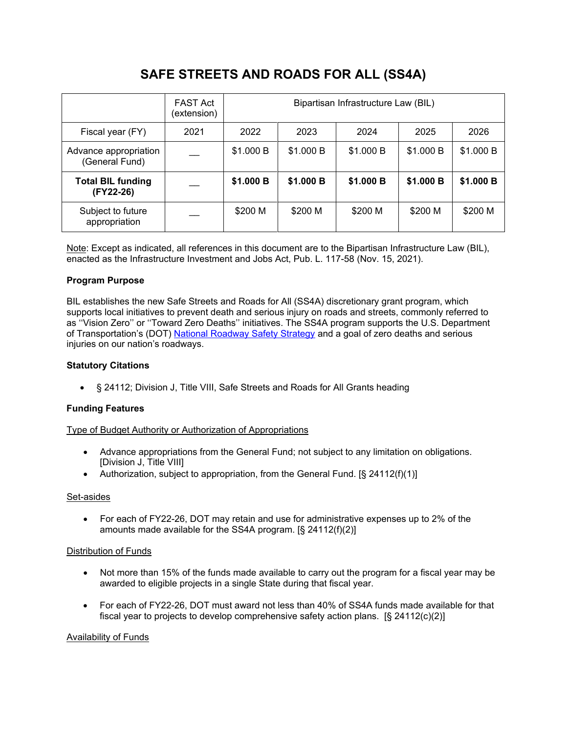# **SAFE STREETS AND ROADS FOR ALL (SS4A)**

|                                         | <b>FAST Act</b><br>(extension) | Bipartisan Infrastructure Law (BIL) |           |           |           |           |
|-----------------------------------------|--------------------------------|-------------------------------------|-----------|-----------|-----------|-----------|
| Fiscal year (FY)                        | 2021                           | 2022                                | 2023      | 2024      | 2025      | 2026      |
| Advance appropriation<br>(General Fund) |                                | \$1.000 B                           | \$1.000 B | \$1.000 B | \$1.000 B | \$1.000 B |
| <b>Total BIL funding</b><br>(FY22-26)   |                                | \$1.000 B                           | \$1.000 B | \$1.000 B | \$1.000 B | \$1.000 B |
| Subject to future<br>appropriation      |                                | \$200 M                             | \$200 M   | \$200 M   | \$200 M   | \$200 M   |

Note: Except as indicated, all references in this document are to the Bipartisan Infrastructure Law (BIL), enacted as the Infrastructure Investment and Jobs Act, Pub. L. 117-58 (Nov. 15, 2021).

## **Program Purpose**

BIL establishes the new Safe Streets and Roads for All (SS4A) discretionary grant program, which supports local initiatives to prevent death and serious injury on roads and streets, commonly referred to as ''Vision Zero'' or ''Toward Zero Deaths'' initiatives. The SS4A program supports the U.S. Department of Transportation's (DOT) National [Roadway](https://www.transportation.gov/NRSS) Safety Strategy and a goal of zero deaths and serious injuries on our nation's roadways.

#### **Statutory Citations**

• § 24112; Division J, Title VIII, Safe Streets and Roads for All Grants heading

## **Funding Features**

#### Type of Budget Authority or Authorization of Appropriations

- Advance appropriations from the General Fund; not subject to any limitation on obligations. [Division J, Title VIII]
- Authorization, subject to appropriation, from the General Fund. [§ 24112(f)(1)]

#### Set-asides

• For each of FY22-26, DOT may retain and use for administrative expenses up to 2% of the amounts made available for the SS4A program. [§ 24112(f)(2)]

#### Distribution of Funds

- Not more than 15% of the funds made available to carry out the program for a fiscal year may be awarded to eligible projects in a single State during that fiscal year.
- For each of FY22-26, DOT must award not less than 40% of SS4A funds made available for that fiscal year to projects to develop comprehensive safety action plans. [§ 24112(c)(2)]

#### Availability of Funds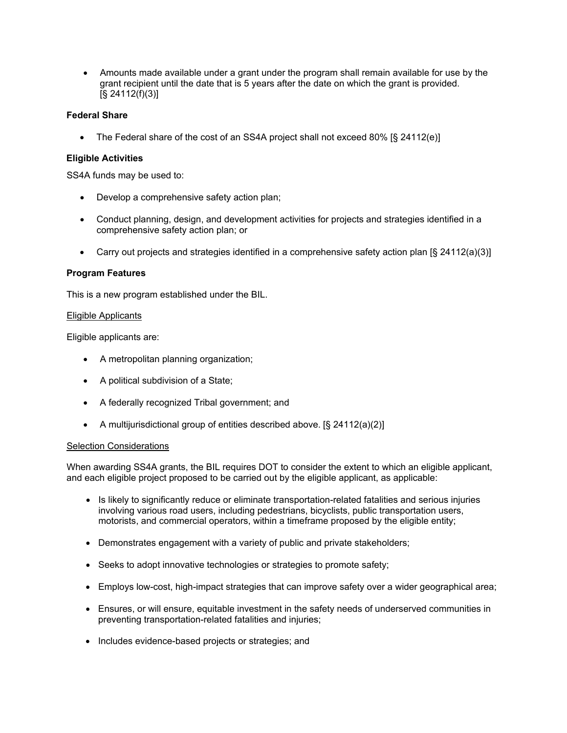• Amounts made available under a grant under the program shall remain available for use by the grant recipient until the date that is 5 years after the date on which the grant is provided. [§ 24112(f)(3)]

## **Federal Share**

• The Federal share of the cost of an SS4A project shall not exceed 80% [§ 24112(e)]

#### **Eligible Activities**

SS4A funds may be used to:

- Develop a comprehensive safety action plan;
- Conduct planning, design, and development activities for projects and strategies identified in a comprehensive safety action plan; or
- Carry out projects and strategies identified in a comprehensive safety action plan [§ 24112(a)(3)]

#### **Program Features**

This is a new program established under the BIL.

#### Eligible Applicants

Eligible applicants are:

- A metropolitan planning organization;
- A political subdivision of a State;
- A federally recognized Tribal government; and
- A multijurisdictional group of entities described above. [§ 24112(a)(2)]

#### Selection Considerations

When awarding SS4A grants, the BIL requires DOT to consider the extent to which an eligible applicant, and each eligible project proposed to be carried out by the eligible applicant, as applicable:

- Is likely to significantly reduce or eliminate transportation-related fatalities and serious injuries involving various road users, including pedestrians, bicyclists, public transportation users, motorists, and commercial operators, within a timeframe proposed by the eligible entity;
- Demonstrates engagement with a variety of public and private stakeholders;
- Seeks to adopt innovative technologies or strategies to promote safety;
- Employs low-cost, high-impact strategies that can improve safety over a wider geographical area;
- Ensures, or will ensure, equitable investment in the safety needs of underserved communities in preventing transportation-related fatalities and injuries;
- Includes evidence-based projects or strategies; and